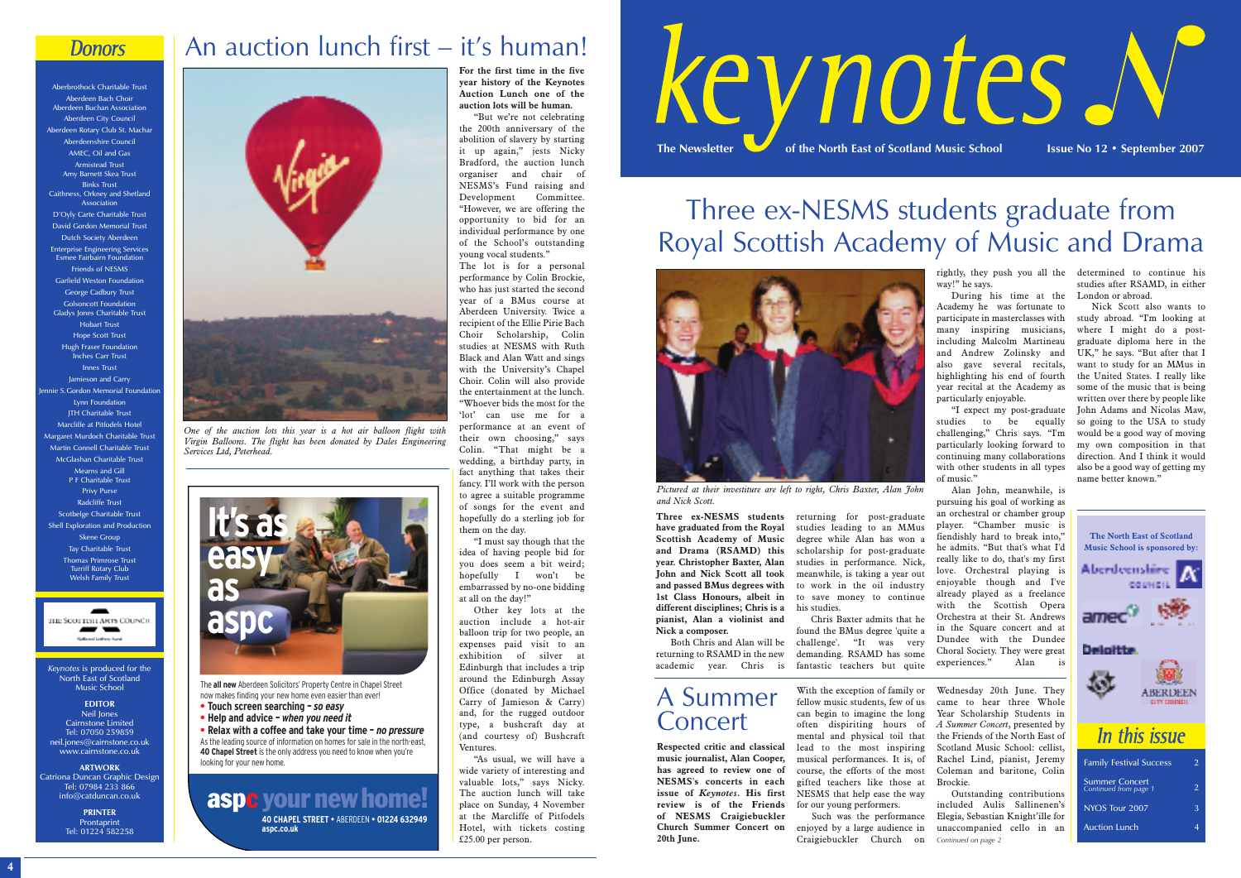*Keynotes* is produced for the North East of Scotland Music School

**EDITOR** Neil Jones Cairnstone Limited Tel: 07050 259859 neil.jones@cairnstone.co.uk www.cairnstone.co.uk

**ARTWORK** Catriona Duncan Graphic Design Tel: 07984 233 866 info@catduncan.co.uk

> **PRINTER Prontaprint** Tel: 01224 582258

**Three ex-NESMS students** returning for post-graduate **have graduated from the Royal Scottish Academy of Music and Drama (RSAMD) this year. Christopher Baxter, Alan John and Nick Scott all took and passed BMus degrees with 1st Class Honours, albeit in different disciplines; Chris is a pianist, Alan a violinist and Nick a composer.**

Both Chris and Alan will be academic year. Chris is

studies leading to an MMus degree while Alan has won a scholarship for post-graduate studies in performance. Nick, meanwhile, is taking a year out to work in the oil industry to save money to continue his studies.

returning to RSAMD in the new demanding. RSAMD has some Chris Baxter admits that he found the BMus degree 'quite a challenge'. "It was very fantastic teachers but quite

rightly, they push you all the determined to continue his way!" he says.

During his time at the Academy he was fortunate to participate in masterclasses with many inspiring musicians, including Malcolm Martineau graduate diploma here in the and Andrew Zolinsky and UK," he says. "But after that I also gave several recitals, want to study for an MMus in highlighting his end of fourth the United States. I really like year recital at the Academy as some of the music that is being particularly enjoyable.

"I expect my post-graduate studies to be equally challenging," Chris says. "I'm particularly looking forward to continuing many collaborations with other students in all types of music."

Alan John, meanwhile, is pursuing his goal of working as an orchestral or chamber group player. "Chamber music is fiendishly hard to break into," he admits. "But that's what I'd really like to do, that's my first love. Orchestral playing is enjoyable though and I've already played as a freelance with the Scottish Opera Orchestra at their St. Andrews in the Square concert and at Dundee with the Dundee Choral Society. They were great experiences." Alan is

studies after RSAMD, in either London or abroad.

Nick Scott also wants to study abroad. "I'm looking at where I might do a postwritten over there by people like John Adams and Nicolas Maw, so going to the USA to study would be a good way of moving my own composition in that direction. And I think it would also be a good way of getting my name better known."



*Pictured at their investiture are left to right, Chris Baxter, Alan John and Nick Scott.*





## Three ex-NESMS students graduate from Royal Scottish Academy of Music and Drama

Aberbrothock Charitable Trust Aberdeen Bach Choir Aberdeen Buchan Association Aberdeen City Council Aberdeen Rotary Club St. Machar Aberdeenshire Council AMEC, Oil and Gas Armistead Trust Amy Barnett Skea Trust Binks Trust Caithness, Orkney and Shetland Association D'Oyly Carte Charitable Trust David Gordon Memorial Trust Dutch Society Aberdeen Enterprise Engineering Services Esmee Fairbairn Foundation Friends of NESMS Garfield Weston Foundation George Cadbury Trust Golsoncott Foundation Gladys Jones Charitable Trust Hobart Trust Hope Scott Trust Hugh Fraser Foundation Inches Carr Trust Innes Trust Jamieson and Carry ennie S. Gordon Memorial Foundation Lynn Foundation **ITH Charitable Trust** Marcliffe at Pitfodels Hotel Margaret Murdoch Charitable Trust Martin Connell Charitable Trust McGlashan Charitable Trust Mearns and Gill P F Charitable Trust Privy Purse Radcliffe Trust Scotbelge Charitable Trust Shell Exploration and Production Skene Group Tay Charitable Trust Thomas Primrose Trust Turriff Rotary Club Welsh Family Trust

**THE SCOTTISTI ARTS COUNCIL** .<br>Wilang Labor has

## A Summer **Concert**

**For the first time in the five year history of the Keynotes Auction Lunch one of the auction lots will be human.**

"But we're not celebrating the 200th anniversary of the abolition of slavery by starting it up again," jests Nicky Bradford, the auction lunch organiser and chair of NESMS's Fund raising and Development Committee. "However, we are offering the opportunity to bid for an individual performance by one of the School's outstanding young vocal students."

The lot is for a personal performance by Colin Brockie, who has just started the second year of a BMus course at Aberdeen University. Twice a recipient of the Ellie Pirie Bach Choir Scholarship, Colin studies at NESMS with Ruth Black and Alan Watt and sings with the University's Chapel Choir. Colin will also provide the entertainment at the lunch. "Whoever bids the most for the 'lot' can use me for a performance at an event of their own choosing," says Colin. "That might be a wedding, a birthday party, in fact anything that takes their fancy. I'll work with the person to agree a suitable programme of songs for the event and hopefully do a sterling job for them on the day.

"I must say though that the idea of having people bid for you does seem a bit weird; hopefully I won't be embarrassed by no-one bidding at all on the day!"

Other key lots at the auction include a hot-air balloon trip for two people, an expenses paid visit to an exhibition of silver at Edinburgh that includes a trip around the Edinburgh Assay Office (donated by Michael Carry of Jamieson & Carry) and, for the rugged outdoor type, a bushcraft day at (and courtesy of) Bushcraft Ventures.

"As usual, we will have a wide variety of interesting and valuable lots," says Nicky. The auction lunch will take place on Sunday, 4 November at the Marcliffe of Pitfodels Hotel, with tickets costing £25.00 per person.

### **Donors**

## An auction lunch first – it's human!

The **all new** Aberdeen Solicitors' Property Centre in Chapel Street now makes finding your new home even easier than ever!

- **• Touch screen searching –** *so easy*
- **• Help and advice** *when you need it*

**• Relax with a coffee and take your time –** *no pressure* As the leading source of information on homes for sale in the north-east, **40 Chapel Street** is the only address you need to know when you're looking for your new home.

**aspc your newhome! 40 CHAPEL STREET** • ABERDEEN • **01224 632949**

**aspc.co.uk**





*One of the auction lots this year is a hot air balloon flight with Virgin Balloons. The flight has been donated by Dales Engineering Services Ltd, Peterhead.*

**Respected critic and classical music journalist, Alan Cooper, has agreed to review one of NESMS's concerts in each issue of** *Keynotes***. His first review is of the Friends of NESMS Craigiebuckler Church Summer Concert on 20th June.**

With the exception of family or fellow music students, few of us can begin to imagine the long often dispiriting hours of mental and physical toil that lead to the most inspiring musical performances. It is, of course, the efforts of the most gifted teachers like those at NESMS that help ease the way for our young performers.

Such was the performance enjoyed by a large audience in Craigiebuckler Church on

Wednesday 20th June. They came to hear three Whole Year Scholarship Students in *A Summer Concert*, presented by the Friends of the North East of Scotland Music School: cellist, Rachel Lind, pianist, Jeremy Coleman and baritone, Colin Brockie.

Outstanding contributions included Aulis Sallinenen's Elegia, Sebastian Knight'ille for unaccompanied cello in an *Continued on page 2*